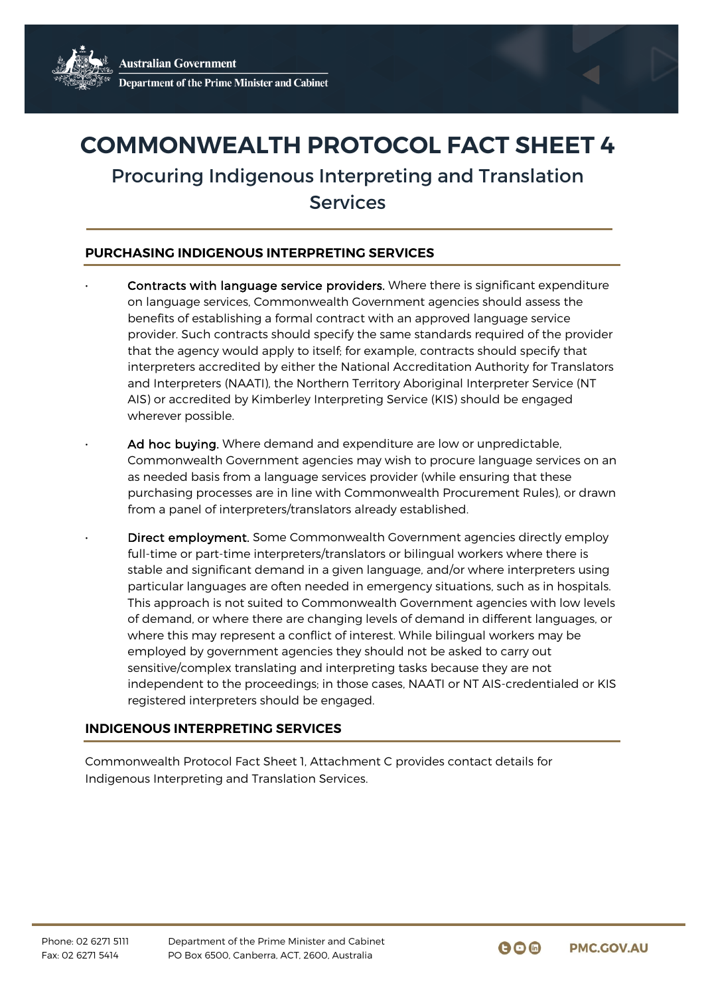## **COMMONWEALTH PROTOCOL FACT SHEET 4**

Procuring Indigenous Interpreting and Translation Services

## **PURCHASING INDIGENOUS INTERPRETING SERVICES**

- Contracts with language service providers. Where there is significant expenditure on language services, Commonwealth Government agencies should assess the benefits of establishing a formal contract with an approved language service provider. Such contracts should specify the same standards required of the provider that the agency would apply to itself; for example, contracts should specify that interpreters accredited by either the National Accreditation Authority for Translators and Interpreters (NAATI), the Northern Territory Aboriginal Interpreter Service (NT AIS) or accredited by Kimberley Interpreting Service (KIS) should be engaged wherever possible.
	- Ad hoc buying. Where demand and expenditure are low or unpredictable, Commonwealth Government agencies may wish to procure language services on an as needed basis from a language services provider (while ensuring that these purchasing processes are in line with Commonwealth Procurement Rules), or drawn from a panel of interpreters/translators already established.
	- Direct employment. Some Commonwealth Government agencies directly employ full-time or part-time interpreters/translators or bilingual workers where there is stable and significant demand in a given language, and/or where interpreters using particular languages are often needed in emergency situations, such as in hospitals. This approach is not suited to Commonwealth Government agencies with low levels of demand, or where there are changing levels of demand in different languages, or where this may represent a conflict of interest. While bilingual workers may be employed by government agencies they should not be asked to carry out sensitive/complex translating and interpreting tasks because they are not independent to the proceedings; in those cases, NAATI or NT AIS-credentialed or KIS registered interpreters should be engaged.

## **INDIGENOUS INTERPRETING SERVICES**

Commonwealth Protocol Fact Sheet 1, Attachment C provides contact details for Indigenous Interpreting and Translation Services.